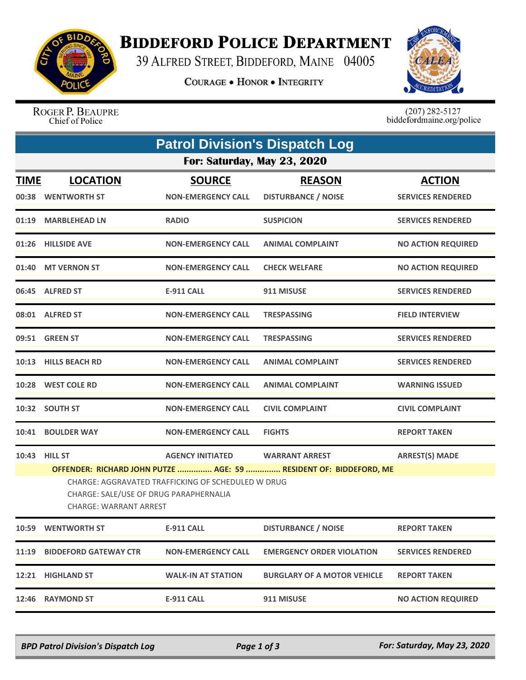

## **BIDDEFORD POLICE DEPARTMENT**

39 ALFRED STREET, BIDDEFORD, MAINE 04005

**COURAGE . HONOR . INTEGRITY** 



ROGER P. BEAUPRE Chief of Police

 $(207)$  282-5127<br>biddefordmaine.org/police

| <b>Patrol Division's Dispatch Log</b> |                                                                                                                                                                                                                                                                                                  |                                            |                                             |                                           |  |  |  |
|---------------------------------------|--------------------------------------------------------------------------------------------------------------------------------------------------------------------------------------------------------------------------------------------------------------------------------------------------|--------------------------------------------|---------------------------------------------|-------------------------------------------|--|--|--|
| For: Saturday, May 23, 2020           |                                                                                                                                                                                                                                                                                                  |                                            |                                             |                                           |  |  |  |
| <b>TIME</b>                           | <b>LOCATION</b><br>00:38 WENTWORTH ST                                                                                                                                                                                                                                                            | <b>SOURCE</b><br><b>NON-EMERGENCY CALL</b> | <b>REASON</b><br><b>DISTURBANCE / NOISE</b> | <b>ACTION</b><br><b>SERVICES RENDERED</b> |  |  |  |
|                                       | 01:19 MARBLEHEAD LN                                                                                                                                                                                                                                                                              | <b>RADIO</b>                               | <b>SUSPICION</b>                            | <b>SERVICES RENDERED</b>                  |  |  |  |
|                                       | 01:26 HILLSIDE AVE                                                                                                                                                                                                                                                                               | <b>NON-EMERGENCY CALL</b>                  | <b>ANIMAL COMPLAINT</b>                     | <b>NO ACTION REQUIRED</b>                 |  |  |  |
|                                       | 01:40 MT VERNON ST                                                                                                                                                                                                                                                                               | <b>NON-EMERGENCY CALL</b>                  | <b>CHECK WELFARE</b>                        | <b>NO ACTION REQUIRED</b>                 |  |  |  |
|                                       | 06:45 ALFRED ST                                                                                                                                                                                                                                                                                  | <b>E-911 CALL</b>                          | 911 MISUSE                                  | <b>SERVICES RENDERED</b>                  |  |  |  |
|                                       | 08:01 ALFRED ST                                                                                                                                                                                                                                                                                  | <b>NON-EMERGENCY CALL</b>                  | <b>TRESPASSING</b>                          | <b>FIELD INTERVIEW</b>                    |  |  |  |
|                                       | 09:51 GREEN ST                                                                                                                                                                                                                                                                                   | <b>NON-EMERGENCY CALL</b>                  | <b>TRESPASSING</b>                          | <b>SERVICES RENDERED</b>                  |  |  |  |
|                                       | 10:13 HILLS BEACH RD                                                                                                                                                                                                                                                                             | <b>NON-EMERGENCY CALL</b>                  | <b>ANIMAL COMPLAINT</b>                     | <b>SERVICES RENDERED</b>                  |  |  |  |
|                                       | 10:28 WEST COLE RD                                                                                                                                                                                                                                                                               | <b>NON-EMERGENCY CALL</b>                  | <b>ANIMAL COMPLAINT</b>                     | <b>WARNING ISSUED</b>                     |  |  |  |
|                                       | 10:32 SOUTH ST                                                                                                                                                                                                                                                                                   | <b>NON-EMERGENCY CALL</b>                  | <b>CIVIL COMPLAINT</b>                      | <b>CIVIL COMPLAINT</b>                    |  |  |  |
| 10:41                                 | <b>BOULDER WAY</b>                                                                                                                                                                                                                                                                               | <b>NON-EMERGENCY CALL</b>                  | <b>FIGHTS</b>                               | <b>REPORT TAKEN</b>                       |  |  |  |
|                                       | 10:43 HILL ST<br><b>AGENCY INITIATED</b><br><b>WARRANT ARREST</b><br><b>ARREST(S) MADE</b><br>OFFENDER: RICHARD JOHN PUTZE  AGE: 59  RESIDENT OF: BIDDEFORD, ME<br>CHARGE: AGGRAVATED TRAFFICKING OF SCHEDULED W DRUG<br>CHARGE: SALE/USE OF DRUG PARAPHERNALIA<br><b>CHARGE: WARRANT ARREST</b> |                                            |                                             |                                           |  |  |  |
|                                       | 10:59 WENTWORTH ST                                                                                                                                                                                                                                                                               | <b>E-911 CALL</b>                          | <b>DISTURBANCE / NOISE</b>                  | <b>REPORT TAKEN</b>                       |  |  |  |
| 11:19                                 | <b>BIDDEFORD GATEWAY CTR</b>                                                                                                                                                                                                                                                                     | <b>NON-EMERGENCY CALL</b>                  | <b>EMERGENCY ORDER VIOLATION</b>            | <b>SERVICES RENDERED</b>                  |  |  |  |
|                                       | 12:21 HIGHLAND ST                                                                                                                                                                                                                                                                                | <b>WALK-IN AT STATION</b>                  | <b>BURGLARY OF A MOTOR VEHICLE</b>          | <b>REPORT TAKEN</b>                       |  |  |  |
|                                       | 12:46 RAYMOND ST                                                                                                                                                                                                                                                                                 | E-911 CALL                                 | 911 MISUSE                                  | <b>NO ACTION REQUIRED</b>                 |  |  |  |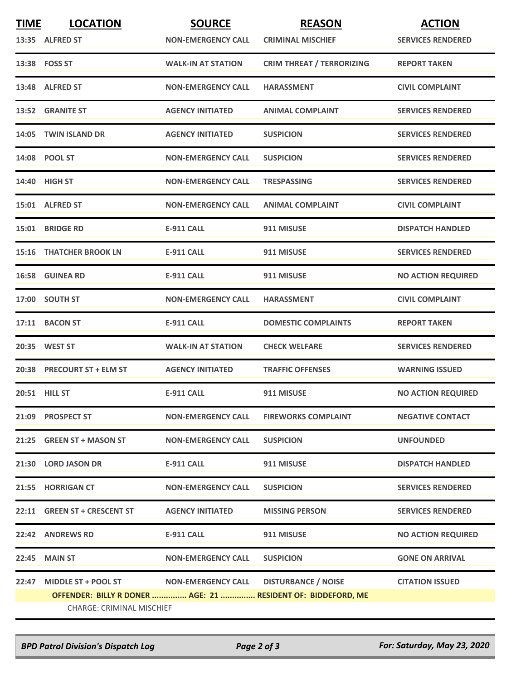| <b>TIME</b> | <b>LOCATION</b>                  | <b>SOURCE</b>             | <b>REASON</b>                                                | <b>ACTION</b>             |
|-------------|----------------------------------|---------------------------|--------------------------------------------------------------|---------------------------|
|             | 13:35 ALFRED ST                  | <b>NON-EMERGENCY CALL</b> | <b>CRIMINAL MISCHIEF</b>                                     | <b>SERVICES RENDERED</b>  |
|             | 13:38 FOSS ST                    | <b>WALK-IN AT STATION</b> | <b>CRIM THREAT / TERRORIZING</b>                             | <b>REPORT TAKEN</b>       |
|             | 13:48 ALFRED ST                  | <b>NON-EMERGENCY CALL</b> | <b>HARASSMENT</b>                                            | <b>CIVIL COMPLAINT</b>    |
|             | 13:52 GRANITE ST                 | <b>AGENCY INITIATED</b>   | <b>ANIMAL COMPLAINT</b>                                      | <b>SERVICES RENDERED</b>  |
|             | 14:05 TWIN ISLAND DR             | <b>AGENCY INITIATED</b>   | <b>SUSPICION</b>                                             | <b>SERVICES RENDERED</b>  |
|             | 14:08 POOL ST                    | <b>NON-EMERGENCY CALL</b> | <b>SUSPICION</b>                                             | <b>SERVICES RENDERED</b>  |
|             | 14:40 HIGH ST                    | <b>NON-EMERGENCY CALL</b> | <b>TRESPASSING</b>                                           | <b>SERVICES RENDERED</b>  |
|             | 15:01 ALFRED ST                  | <b>NON-EMERGENCY CALL</b> | <b>ANIMAL COMPLAINT</b>                                      | <b>CIVIL COMPLAINT</b>    |
|             | 15:01 BRIDGE RD                  | <b>E-911 CALL</b>         | 911 MISUSE                                                   | <b>DISPATCH HANDLED</b>   |
|             | <b>15:16 THATCHER BROOK LN</b>   | <b>E-911 CALL</b>         | 911 MISUSE                                                   | <b>SERVICES RENDERED</b>  |
|             | <b>16:58 GUINEA RD</b>           | <b>E-911 CALL</b>         | 911 MISUSE                                                   | <b>NO ACTION REQUIRED</b> |
|             | 17:00 SOUTH ST                   | <b>NON-EMERGENCY CALL</b> | <b>HARASSMENT</b>                                            | <b>CIVIL COMPLAINT</b>    |
|             | 17:11 BACON ST                   | <b>E-911 CALL</b>         | <b>DOMESTIC COMPLAINTS</b>                                   | <b>REPORT TAKEN</b>       |
|             | 20:35 WEST ST                    | <b>WALK-IN AT STATION</b> | <b>CHECK WELFARE</b>                                         | <b>SERVICES RENDERED</b>  |
|             | 20:38 PRECOURT ST + ELM ST       | <b>AGENCY INITIATED</b>   | <b>TRAFFIC OFFENSES</b>                                      | <b>WARNING ISSUED</b>     |
|             | <b>20:51 HILL ST</b>             | <b>E-911 CALL</b>         | 911 MISUSE                                                   | <b>NO ACTION REQUIRED</b> |
|             | 21:09 PROSPECT ST                | <b>NON-EMERGENCY CALL</b> | <b>FIREWORKS COMPLAINT</b>                                   | <b>NEGATIVE CONTACT</b>   |
|             | 21:25 GREEN ST + MASON ST        | <b>NON-EMERGENCY CALL</b> | <b>SUSPICION</b>                                             | <b>UNFOUNDED</b>          |
|             | 21:30 LORD JASON DR              | E-911 CALL                | 911 MISUSE                                                   | <b>DISPATCH HANDLED</b>   |
|             | 21:55 HORRIGAN CT                | <b>NON-EMERGENCY CALL</b> | <b>SUSPICION</b>                                             | <b>SERVICES RENDERED</b>  |
|             | 22:11 GREEN ST + CRESCENT ST     | <b>AGENCY INITIATED</b>   | <b>MISSING PERSON</b>                                        | <b>SERVICES RENDERED</b>  |
|             | 22:42 ANDREWS RD                 | E-911 CALL                | 911 MISUSE                                                   | <b>NO ACTION REQUIRED</b> |
|             | 22:45 MAIN ST                    | <b>NON-EMERGENCY CALL</b> | <b>SUSPICION</b>                                             | <b>GONE ON ARRIVAL</b>    |
| 22:47       | <b>MIDDLE ST + POOL ST</b>       | <b>NON-EMERGENCY CALL</b> | <b>DISTURBANCE / NOISE</b>                                   | <b>CITATION ISSUED</b>    |
|             | <b>CHARGE: CRIMINAL MISCHIEF</b> |                           | OFFENDER: BILLY R DONER  AGE: 21  RESIDENT OF: BIDDEFORD, ME |                           |
|             |                                  |                           |                                                              |                           |

*BPD Patrol Division's Dispatch Log Page 2 of 3 For: Saturday, May 23, 2020*